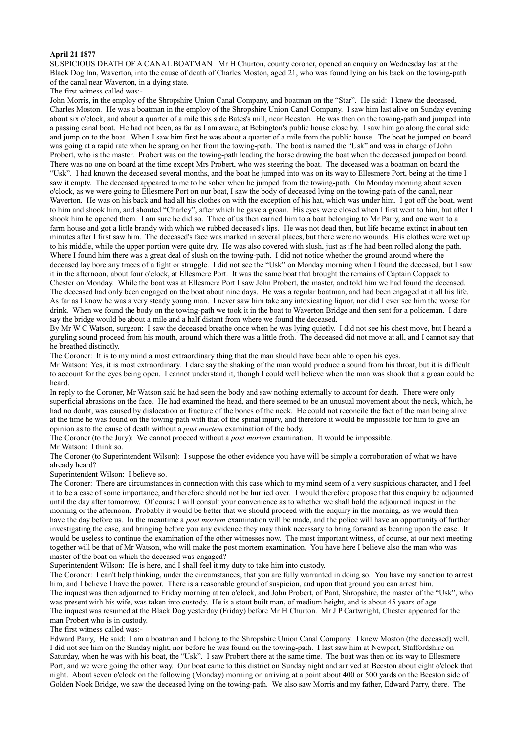### **April 21 1877**

SUSPICIOUS DEATH OF A CANAL BOATMAN Mr H Churton, county coroner, opened an enquiry on Wednesday last at the Black Dog Inn, Waverton, into the cause of death of Charles Moston, aged 21, who was found lying on his back on the towing-path of the canal near Waverton, in a dying state.

#### The first witness called was:-

John Morris, in the employ of the Shropshire Union Canal Company, and boatman on the "Star". He said: I knew the deceased, Charles Moston. He was a boatman in the employ of the Shropshire Union Canal Company. I saw him last alive on Sunday evening about six o'clock, and about a quarter of a mile this side Bates's mill, near Beeston. He was then on the towing-path and jumped into a passing canal boat. He had not been, as far as I am aware, at Bebington's public house close by. I saw him go along the canal side and jump on to the boat. When I saw him first he was about a quarter of a mile from the public house. The boat he jumped on board was going at a rapid rate when he sprang on her from the towing-path. The boat is named the "Usk" and was in charge of John Probert, who is the master. Probert was on the towing-path leading the horse drawing the boat when the deceased jumped on board. There was no one on board at the time except Mrs Probert, who was steering the boat. The deceased was a boatman on board the "Usk". I had known the deceased several months, and the boat he jumped into was on its way to Ellesmere Port, being at the time I saw it empty. The deceased appeared to me to be sober when he jumped from the towing-path. On Monday morning about seven o'clock, as we were going to Ellesmere Port on our boat, I saw the body of deceased lying on the towing-path of the canal, near Waverton. He was on his back and had all his clothes on with the exception of his hat, which was under him. I got off the boat, went to him and shook him, and shouted "Charley", after which he gave a groan. His eyes were closed when I first went to him, but after I shook him he opened them. I am sure he did so. Three of us then carried him to a boat belonging to Mr Parry, and one went to a farm house and got a little brandy with which we rubbed deceased's lips. He was not dead then, but life became extinct in about ten minutes after I first saw him. The deceased's face was marked in several places, but there were no wounds. His clothes were wet up to his middle, while the upper portion were quite dry. He was also covered with slush, just as if he had been rolled along the path. Where I found him there was a great deal of slush on the towing-path. I did not notice whether the ground around where the deceased lay bore any traces of a fight or struggle. I did not see the "Usk" on Monday morning when I found the deceased, but I saw it in the afternoon, about four o'clock, at Ellesmere Port. It was the same boat that brought the remains of Captain Coppack to Chester on Monday. While the boat was at Ellesmere Port I saw John Probert, the master, and told him we had found the deceased. The deceased had only been engaged on the boat about nine days. He was a regular boatman, and had been engaged at it all his life. As far as I know he was a very steady young man. I never saw him take any intoxicating liquor, nor did I ever see him the worse for drink. When we found the body on the towing-path we took it in the boat to Waverton Bridge and then sent for a policeman. I dare say the bridge would be about a mile and a half distant from where we found the deceased.

By Mr W C Watson, surgeon: I saw the deceased breathe once when he was lying quietly. I did not see his chest move, but I heard a gurgling sound proceed from his mouth, around which there was a little froth. The deceased did not move at all, and I cannot say that he breathed distinctly.

The Coroner: It is to my mind a most extraordinary thing that the man should have been able to open his eyes.

Mr Watson: Yes, it is most extraordinary. I dare say the shaking of the man would produce a sound from his throat, but it is difficult to account for the eyes being open. I cannot understand it, though I could well believe when the man was shook that a groan could be heard.

In reply to the Coroner, Mr Watson said he had seen the body and saw nothing externally to account for death. There were only superficial abrasions on the face. He had examined the head, and there seemed to be an unusual movement about the neck, which, he had no doubt, was caused by dislocation or fracture of the bones of the neck. He could not reconcile the fact of the man being alive at the time he was found on the towing-path with that of the spinal injury, and therefore it would be impossible for him to give an opinion as to the cause of death without a *post mortem* examination of the body.

The Coroner (to the Jury): We cannot proceed without a *post mortem* examination. It would be impossible. Mr Watson: I think so.

The Coroner (to Superintendent Wilson): I suppose the other evidence you have will be simply a corroboration of what we have already heard?

Superintendent Wilson: I believe so.

The Coroner: There are circumstances in connection with this case which to my mind seem of a very suspicious character, and I feel it to be a case of some importance, and therefore should not be hurried over. I would therefore propose that this enquiry be adjourned until the day after tomorrow. Of course I will consult your convenience as to whether we shall hold the adjourned inquest in the morning or the afternoon. Probably it would be better that we should proceed with the enquiry in the morning, as we would then have the day before us. In the meantime a *post mortem* examination will be made, and the police will have an opportunity of further investigating the case, and bringing before you any evidence they may think necessary to bring forward as bearing upon the case. It would be useless to continue the examination of the other witnesses now. The most important witness, of course, at our next meeting together will be that of Mr Watson, who will make the post mortem examination. You have here I believe also the man who was master of the boat on which the deceased was engaged?

Superintendent Wilson: He is here, and I shall feel it my duty to take him into custody.

The Coroner: I can't help thinking, under the circumstances, that you are fully warranted in doing so. You have my sanction to arrest him, and I believe I have the power. There is a reasonable ground of suspicion, and upon that ground you can arrest him. The inquest was then adjourned to Friday morning at ten o'clock, and John Probert, of Pant, Shropshire, the master of the "Usk", who was present with his wife, was taken into custody. He is a stout built man, of medium height, and is about 45 years of age. The inquest was resumed at the Black Dog yesterday (Friday) before Mr H Churton. Mr J P Cartwright, Chester appeared for the man Probert who is in custody.

The first witness called was:-

Edward Parry, He said: I am a boatman and I belong to the Shropshire Union Canal Company. I knew Moston (the deceased) well. I did not see him on the Sunday night, nor before he was found on the towing-path. I last saw him at Newport, Staffordshire on Saturday, when he was with his boat, the "Usk". I saw Probert there at the same time. The boat was then on its way to Ellesmere Port, and we were going the other way. Our boat came to this district on Sunday night and arrived at Beeston about eight o'clock that night. About seven o'clock on the following (Monday) morning on arriving at a point about 400 or 500 yards on the Beeston side of Golden Nook Bridge, we saw the deceased lying on the towing-path. We also saw Morris and my father, Edward Parry, there. The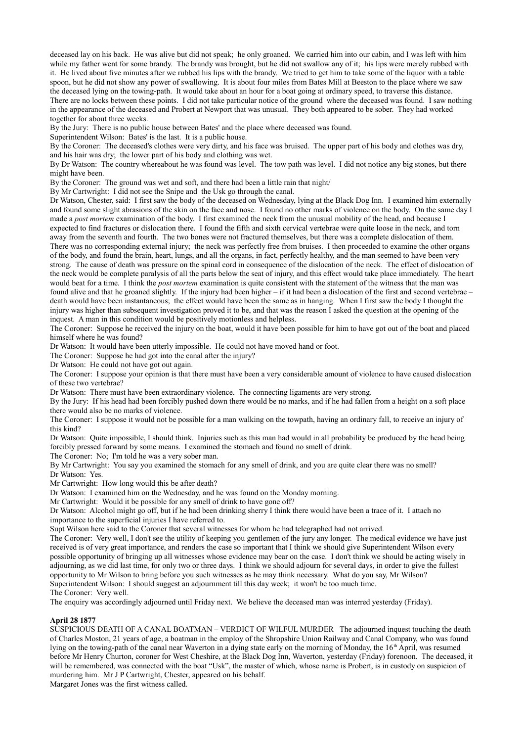deceased lay on his back. He was alive but did not speak; he only groaned. We carried him into our cabin, and I was left with him while my father went for some brandy. The brandy was brought, but he did not swallow any of it; his lips were merely rubbed with it. He lived about five minutes after we rubbed his lips with the brandy. We tried to get him to take some of the liquor with a table spoon, but he did not show any power of swallowing. It is about four miles from Bates Mill at Beeston to the place where we saw the deceased lying on the towing-path. It would take about an hour for a boat going at ordinary speed, to traverse this distance. There are no locks between these points. I did not take particular notice of the ground where the deceased was found. I saw nothing in the appearance of the deceased and Probert at Newport that was unusual. They both appeared to be sober. They had worked together for about three weeks.

By the Jury: There is no public house between Bates' and the place where deceased was found.

Superintendent Wilson: Bates' is the last. It is a public house.

By the Coroner: The deceased's clothes were very dirty, and his face was bruised. The upper part of his body and clothes was dry, and his hair was dry; the lower part of his body and clothing was wet.

By Dr Watson: The country whereabout he was found was level. The tow path was level. I did not notice any big stones, but there might have been.

By the Coroner: The ground was wet and soft, and there had been a little rain that night/

By Mr Cartwright: I did not see the Snipe and the Usk go through the canal.

Dr Watson, Chester, said: I first saw the body of the deceased on Wednesday, lying at the Black Dog Inn. I examined him externally and found some slight abrasions of the skin on the face and nose. I found no other marks of violence on the body. On the same day I made a *post mortem* examination of the body. I first examined the neck from the unusual mobility of the head, and because I expected to find fractures or dislocation there. I found the fifth and sixth cervical vertebrae were quite loose in the neck, and torn away from the seventh and fourth. The two bones were not fractured themselves, but there was a complete dislocation of them. There was no corresponding external injury; the neck was perfectly free from bruises. I then proceeded to examine the other organs of the body, and found the brain, heart, lungs, and all the organs, in fact, perfectly healthy, and the man seemed to have been very strong. The cause of death was pressure on the spinal cord in consequence of the dislocation of the neck. The effect of dislocation of the neck would be complete paralysis of all the parts below the seat of injury, and this effect would take place immediately. The heart would beat for a time. I think the *post mortem* examination is quite consistent with the statement of the witness that the man was found alive and that he groaned slightly. If the injury had been higher – if it had been a dislocation of the first and second vertebrae – death would have been instantaneous; the effect would have been the same as in hanging. When I first saw the body I thought the injury was higher than subsequent investigation proved it to be, and that was the reason I asked the question at the opening of the inquest. A man in this condition would be positively motionless and helpless.

The Coroner: Suppose he received the injury on the boat, would it have been possible for him to have got out of the boat and placed himself where he was found?

Dr Watson: It would have been utterly impossible. He could not have moved hand or foot.

The Coroner: Suppose he had got into the canal after the injury?

Dr Watson: He could not have got out again.

The Coroner: I suppose your opinion is that there must have been a very considerable amount of violence to have caused dislocation of these two vertebrae?

Dr Watson: There must have been extraordinary violence. The connecting ligaments are very strong.

By the Jury: If his head had been forcibly pushed down there would be no marks, and if he had fallen from a height on a soft place there would also be no marks of violence.

The Coroner: I suppose it would not be possible for a man walking on the towpath, having an ordinary fall, to receive an injury of this kind?

Dr Watson: Quite impossible, I should think. Injuries such as this man had would in all probability be produced by the head being forcibly pressed forward by some means. I examined the stomach and found no smell of drink.

The Coroner: No; I'm told he was a very sober man.

By Mr Cartwright: You say you examined the stomach for any smell of drink, and you are quite clear there was no smell? Dr Watson: Yes.

Mr Cartwright: How long would this be after death?

Dr Watson: I examined him on the Wednesday, and he was found on the Monday morning.

Mr Cartwright: Would it be possible for any smell of drink to have gone off?

Dr Watson: Alcohol might go off, but if he had been drinking sherry I think there would have been a trace of it. I attach no importance to the superficial injuries I have referred to.

Supt Wilson here said to the Coroner that several witnesses for whom he had telegraphed had not arrived.

The Coroner: Very well, I don't see the utility of keeping you gentlemen of the jury any longer. The medical evidence we have just received is of very great importance, and renders the case so important that I think we should give Superintendent Wilson every possible opportunity of bringing up all witnesses whose evidence may bear on the case. I don't think we should be acting wisely in adjourning, as we did last time, for only two or three days. I think we should adjourn for several days, in order to give the fullest opportunity to Mr Wilson to bring before you such witnesses as he may think necessary. What do you say, Mr Wilson? Superintendent Wilson: I should suggest an adjournment till this day week; it won't be too much time. The Coroner: Very well.

The enquiry was accordingly adjourned until Friday next. We believe the deceased man was interred yesterday (Friday).

## **April 28 1877**

SUSPICIOUS DEATH OF A CANAL BOATMAN – VERDICT OF WILFUL MURDER The adjourned inquest touching the death of Charles Moston, 21 years of age, a boatman in the employ of the Shropshire Union Railway and Canal Company, who was found lying on the towing-path of the canal near Waverton in a dying state early on the morning of Monday, the 16<sup>th</sup> April, was resumed before Mr Henry Churton, coroner for West Cheshire, at the Black Dog Inn, Waverton, yesterday (Friday) forenoon. The deceased, it will be remembered, was connected with the boat "Usk", the master of which, whose name is Probert, is in custody on suspicion of murdering him. Mr J P Cartwright, Chester, appeared on his behalf.

Margaret Jones was the first witness called.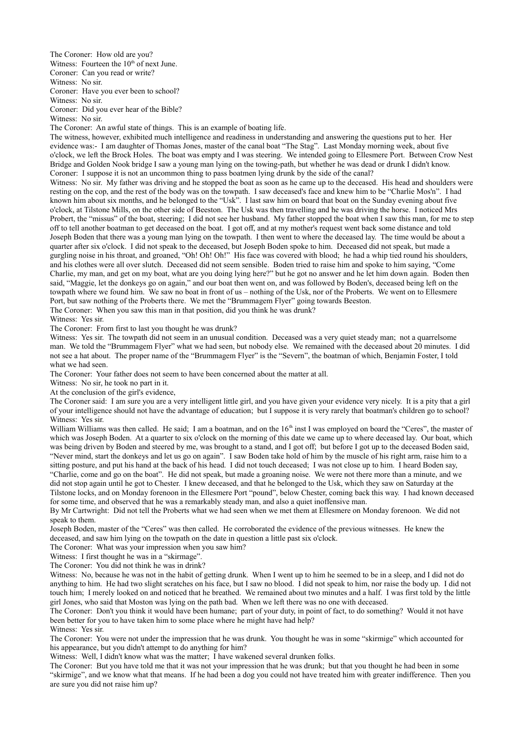The Coroner: How old are you?

Witness: Fourteen the  $10<sup>th</sup>$  of next June.

Coroner: Can you read or write?

Witness: No sir.

Coroner: Have you ever been to school?

Witness: No sir.

Coroner: Did you ever hear of the Bible?

Witness: No sir.

The Coroner: An awful state of things. This is an example of boating life.

The witness, however, exhibited much intelligence and readiness in understanding and answering the questions put to her. Her evidence was:- I am daughter of Thomas Jones, master of the canal boat "The Stag". Last Monday morning week, about five o'clock, we left the Brock Holes. The boat was empty and I was steering. We intended going to Ellesmere Port. Between Crow Nest Bridge and Golden Nook bridge I saw a young man lying on the towing-path, but whether he was dead or drunk I didn't know. Coroner: I suppose it is not an uncommon thing to pass boatmen lying drunk by the side of the canal?

Witness: No sir. My father was driving and he stopped the boat as soon as he came up to the deceased. His head and shoulders were resting on the cop, and the rest of the body was on the towpath. I saw deceased's face and knew him to be "Charlie Mos'n". I had known him about six months, and he belonged to the "Usk". I last saw him on board that boat on the Sunday evening about five o'clock, at Tilstone Mills, on the other side of Beeston. The Usk was then travelling and he was driving the horse. I noticed Mrs Probert, the "missus" of the boat, steering; I did not see her husband. My father stopped the boat when I saw this man, for me to step off to tell another boatman to get deceased on the boat. I got off, and at my mother's request went back some distance and told Joseph Boden that there was a young man lying on the towpath. I then went to where the deceased lay. The time would be about a quarter after six o'clock. I did not speak to the deceased, but Joseph Boden spoke to him. Deceased did not speak, but made a gurgling noise in his throat, and groaned, "Oh! Oh! Oh!" His face was covered with blood; he had a whip tied round his shoulders, and his clothes were all over slutch. Deceased did not seem sensible. Boden tried to raise him and spoke to him saying, "Come Charlie, my man, and get on my boat, what are you doing lying here?" but he got no answer and he let him down again. Boden then said, "Maggie, let the donkeys go on again," and our boat then went on, and was followed by Boden's, deceased being left on the towpath where we found him. We saw no boat in front of us – nothing of the Usk, nor of the Proberts. We went on to Ellesmere Port, but saw nothing of the Proberts there. We met the "Brummagem Flyer" going towards Beeston.

The Coroner: When you saw this man in that position, did you think he was drunk?

Witness: Yes sir.

The Coroner: From first to last you thought he was drunk?

Witness: Yes sir. The towpath did not seem in an unusual condition. Deceased was a very quiet steady man; not a quarrelsome man. We told the "Brummagem Flyer" what we had seen, but nobody else. We remained with the deceased about 20 minutes. I did not see a hat about. The proper name of the "Brummagem Flyer" is the "Severn", the boatman of which, Benjamin Foster, I told what we had seen.

The Coroner: Your father does not seem to have been concerned about the matter at all.

Witness: No sir, he took no part in it.

At the conclusion of the girl's evidence,

The Coroner said: I am sure you are a very intelligent little girl, and you have given your evidence very nicely. It is a pity that a girl of your intelligence should not have the advantage of education; but I suppose it is very rarely that boatman's children go to school? Witness: Yes sir.

William Williams was then called. He said; I am a boatman, and on the 16<sup>th</sup> inst I was employed on board the "Ceres", the master of which was Joseph Boden. At a quarter to six o'clock on the morning of this date we came up to where deceased lay. Our boat, which was being driven by Boden and steered by me, was brought to a stand, and I got off; but before I got up to the deceased Boden said, "Never mind, start the donkeys and let us go on again". I saw Boden take hold of him by the muscle of his right arm, raise him to a sitting posture, and put his hand at the back of his head. I did not touch deceased; I was not close up to him. I heard Boden say,

"Charlie, come and go on the boat". He did not speak, but made a groaning noise. We were not there more than a minute, and we did not stop again until he got to Chester. I knew deceased, and that he belonged to the Usk, which they saw on Saturday at the Tilstone locks, and on Monday forenoon in the Ellesmere Port "pound", below Chester, coming back this way. I had known deceased for some time, and observed that he was a remarkably steady man, and also a quiet inoffensive man.

By Mr Cartwright: Did not tell the Proberts what we had seen when we met them at Ellesmere on Monday forenoon. We did not speak to them.

Joseph Boden, master of the "Ceres" was then called. He corroborated the evidence of the previous witnesses. He knew the deceased, and saw him lying on the towpath on the date in question a little past six o'clock.

The Coroner: What was your impression when you saw him?

Witness: I first thought he was in a "skirmage".

The Coroner: You did not think he was in drink?

Witness: No, because he was not in the habit of getting drunk. When I went up to him he seemed to be in a sleep, and I did not do anything to him. He had two slight scratches on his face, but I saw no blood. I did not speak to him, nor raise the body up. I did not touch him; I merely looked on and noticed that he breathed. We remained about two minutes and a half. I was first told by the little girl Jones, who said that Moston was lying on the path bad. When we left there was no one with deceased.

The Coroner: Don't you think it would have been humane; part of your duty, in point of fact, to do something? Would it not have been better for you to have taken him to some place where he might have had help?

Witness: Yes sir.

The Coroner: You were not under the impression that he was drunk. You thought he was in some "skirmige" which accounted for his appearance, but you didn't attempt to do anything for him?

Witness: Well, I didn't know what was the matter; I have wakened several drunken folks.

The Coroner: But you have told me that it was not your impression that he was drunk; but that you thought he had been in some "skirmige", and we know what that means. If he had been a dog you could not have treated him with greater indifference. Then you are sure you did not raise him up?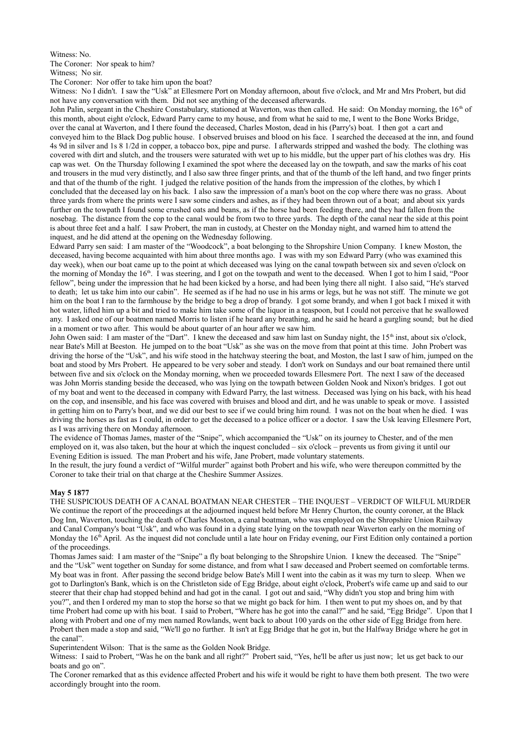Witness: No.

The Coroner: Nor speak to him? Witness: No sir.

The Coroner: Nor offer to take him upon the boat?

Witness: No I didn't. I saw the "Usk" at Ellesmere Port on Monday afternoon, about five o'clock, and Mr and Mrs Probert, but did not have any conversation with them. Did not see anything of the deceased afterwards.

John Palin, sergeant in the Cheshire Constabulary, stationed at Waverton, was then called. He said: On Monday morning, the 16<sup>th</sup> of this month, about eight o'clock, Edward Parry came to my house, and from what he said to me, I went to the Bone Works Bridge, over the canal at Waverton, and I there found the deceased, Charles Moston, dead in his (Parry's) boat. I then got a cart and conveyed him to the Black Dog public house. I observed bruises and blood on his face. I searched the deceased at the inn, and found 4s 9d in silver and 1s 8 1/2d in copper, a tobacco box, pipe and purse. I afterwards stripped and washed the body. The clothing was covered with dirt and slutch, and the trousers were saturated with wet up to his middle, but the upper part of his clothes was dry. His cap was wet. On the Thursday following I examined the spot where the deceased lay on the towpath, and saw the marks of his coat and trousers in the mud very distinctly, and I also saw three finger prints, and that of the thumb of the left hand, and two finger prints and that of the thumb of the right. I judged the relative position of the hands from the impression of the clothes, by which I concluded that the deceased lay on his back. I also saw the impression of a man's boot on the cop where there was no grass. About three yards from where the prints were I saw some cinders and ashes, as if they had been thrown out of a boat; and about six yards further on the towpath I found some crushed oats and beans, as if the horse had been feeding there, and they had fallen from the nosebag. The distance from the cop to the canal would be from two to three yards. The depth of the canal near the side at this point is about three feet and a half. I saw Probert, the man in custody, at Chester on the Monday night, and warned him to attend the inquest, and he did attend at the opening on the Wednesday following.

Edward Parry sen said: I am master of the "Woodcock", a boat belonging to the Shropshire Union Company. I knew Moston, the deceased, having become acquainted with him about three months ago. I was with my son Edward Parry (who was examined this day week), when our boat came up to the point at which deceased was lying on the canal towpath between six and seven o'clock on the morning of Monday the 16<sup>th</sup>. I was steering, and I got on the towpath and went to the deceased. When I got to him I said, "Poor fellow", being under the impression that he had been kicked by a horse, and had been lying there all night. I also said, "He's starved to death; let us take him into our cabin". He seemed as if he had no use in his arms or legs, but he was not stiff. The minute we got him on the boat I ran to the farmhouse by the bridge to beg a drop of brandy. I got some brandy, and when I got back I mixed it with hot water, lifted him up a bit and tried to make him take some of the liquor in a teaspoon, but I could not perceive that he swallowed any. I asked one of our boatmen named Morris to listen if he heard any breathing, and he said he heard a gurgling sound; but he died in a moment or two after. This would be about quarter of an hour after we saw him.

John Owen said: I am master of the "Dart". I knew the deceased and saw him last on Sunday night, the 15<sup>th</sup> inst, about six o'clock, near Bate's Mill at Beeston. He jumped on to the boat "Usk" as she was on the move from that point at this time. John Probert was driving the horse of the "Usk", and his wife stood in the hatchway steering the boat, and Moston, the last I saw of him, jumped on the boat and stood by Mrs Probert. He appeared to be very sober and steady. I don't work on Sundays and our boat remained there until between five and six o'clock on the Monday morning, when we proceeded towards Ellesmere Port. The next I saw of the deceased was John Morris standing beside the deceased, who was lying on the towpath between Golden Nook and Nixon's bridges. I got out of my boat and went to the deceased in company with Edward Parry, the last witness. Deceased was lying on his back, with his head on the cop, and insensible, and his face was covered with bruises and blood and dirt, and he was unable to speak or move. I assisted in getting him on to Parry's boat, and we did our best to see if we could bring him round. I was not on the boat when he died. I was driving the horses as fast as I could, in order to get the deceased to a police officer or a doctor. I saw the Usk leaving Ellesmere Port, as I was arriving there on Monday afternoon.

The evidence of Thomas James, master of the "Snipe", which accompanied the "Usk" on its journey to Chester, and of the men employed on it, was also taken, but the hour at which the inquest concluded – six o'clock – prevents us from giving it until our Evening Edition is issued. The man Probert and his wife, Jane Probert, made voluntary statements.

In the result, the jury found a verdict of "Wilful murder" against both Probert and his wife, who were thereupon committed by the Coroner to take their trial on that charge at the Cheshire Summer Assizes.

## **May 5 1877**

THE SUSPICIOUS DEATH OF A CANAL BOATMAN NEAR CHESTER – THE INQUEST – VERDICT OF WILFUL MURDER We continue the report of the proceedings at the adjourned inquest held before Mr Henry Churton, the county coroner, at the Black Dog Inn, Waverton, touching the death of Charles Moston, a canal boatman, who was employed on the Shropshire Union Railway and Canal Company's boat "Usk", and who was found in a dying state lying on the towpath near Waverton early on the morning of Monday the  $16<sup>th</sup>$  April. As the inquest did not conclude until a late hour on Friday evening, our First Edition only contained a portion of the proceedings.

Thomas James said: I am master of the "Snipe" a fly boat belonging to the Shropshire Union. I knew the deceased. The "Snipe" and the "Usk" went together on Sunday for some distance, and from what I saw deceased and Probert seemed on comfortable terms. My boat was in front. After passing the second bridge below Bate's Mill I went into the cabin as it was my turn to sleep. When we got to Darlington's Bank, which is on the Christleton side of Egg Bridge, about eight o'clock, Probert's wife came up and said to our steerer that their chap had stopped behind and had got in the canal. I got out and said, "Why didn't you stop and bring him with you?", and then I ordered my man to stop the horse so that we might go back for him. I then went to put my shoes on, and by that time Probert had come up with his boat. I said to Probert, "Where has he got into the canal?" and he said, "Egg Bridge". Upon that I along with Probert and one of my men named Rowlands, went back to about 100 yards on the other side of Egg Bridge from here. Probert then made a stop and said, "We'll go no further. It isn't at Egg Bridge that he got in, but the Halfway Bridge where he got in the canal".

Superintendent Wilson: That is the same as the Golden Nook Bridge.

Witness: I said to Probert, "Was he on the bank and all right?" Probert said, "Yes, he'll be after us just now; let us get back to our boats and go on".

The Coroner remarked that as this evidence affected Probert and his wife it would be right to have them both present. The two were accordingly brought into the room.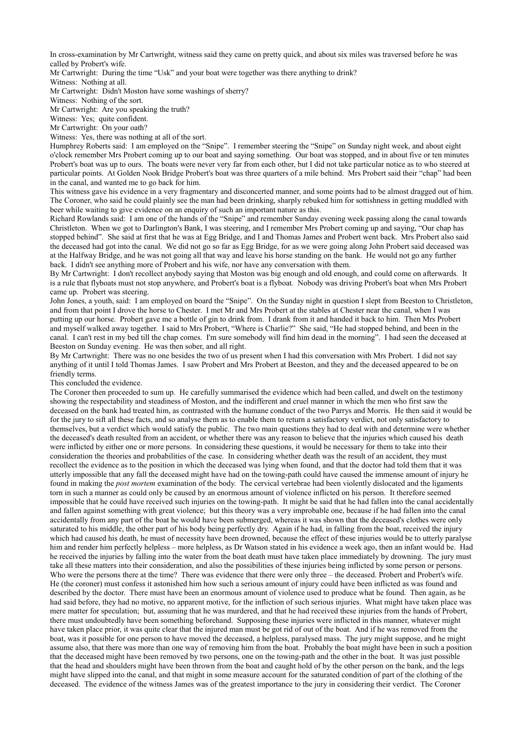In cross-examination by Mr Cartwright, witness said they came on pretty quick, and about six miles was traversed before he was called by Probert's wife.

Mr Cartwright: During the time "Usk" and your boat were together was there anything to drink?

Witness: Nothing at all.

Mr Cartwright: Didn't Moston have some washings of sherry?

Witness: Nothing of the sort.

Mr Cartwright: Are you speaking the truth?

Witness: Yes; quite confident.

Mr Cartwright: On your oath?

Witness: Yes, there was nothing at all of the sort.

Humphrey Roberts said: I am employed on the "Snipe". I remember steering the "Snipe" on Sunday night week, and about eight o'clock remember Mrs Probert coming up to our boat and saying something. Our boat was stopped, and in about five or ten minutes Probert's boat was up to ours. The boats were never very far from each other, but I did not take particular notice as to who steered at particular points. At Golden Nook Bridge Probert's boat was three quarters of a mile behind. Mrs Probert said their "chap" had been in the canal, and wanted me to go back for him.

This witness gave his evidence in a very fragmentary and disconcerted manner, and some points had to be almost dragged out of him. The Coroner, who said he could plainly see the man had been drinking, sharply rebuked him for sottishness in getting muddled with beer while waiting to give evidence on an enquiry of such an important nature as this.

Richard Rowlands said: I am one of the hands of the "Snipe" and remember Sunday evening week passing along the canal towards Christleton. When we got to Darlington's Bank, I was steering, and I remember Mrs Probert coming up and saying, "Our chap has stopped behind". She said at first that he was at Egg Bridge, and I and Thomas James and Probert went back. Mrs Probert also said the deceased had got into the canal. We did not go so far as Egg Bridge, for as we were going along John Probert said deceased was at the Halfway Bridge, and he was not going all that way and leave his horse standing on the bank. He would not go any further back. I didn't see anything more of Probert and his wife, nor have any conversation with them.

By Mr Cartwright: I don't recollect anybody saying that Moston was big enough and old enough, and could come on afterwards. It is a rule that flyboats must not stop anywhere, and Probert's boat is a flyboat. Nobody was driving Probert's boat when Mrs Probert came up. Probert was steering.

John Jones, a youth, said: I am employed on board the "Snipe". On the Sunday night in question I slept from Beeston to Christleton, and from that point I drove the horse to Chester. I met Mr and Mrs Probert at the stables at Chester near the canal, when I was putting up our horse. Probert gave me a bottle of gin to drink from. I drank from it and handed it back to him. Then Mrs Probert and myself walked away together. I said to Mrs Probert, "Where is Charlie?" She said, "He had stopped behind, and been in the canal. I can't rest in my bed till the chap comes. I'm sure somebody will find him dead in the morning". I had seen the deceased at Beeston on Sunday evening. He was then sober, and all right.

By Mr Cartwright: There was no one besides the two of us present when I had this conversation with Mrs Probert. I did not say anything of it until I told Thomas James. I saw Probert and Mrs Probert at Beeston, and they and the deceased appeared to be on friendly terms.

This concluded the evidence.

The Coroner then proceeded to sum up. He carefully summarised the evidence which had been called, and dwelt on the testimony showing the respectability and steadiness of Moston, and the indifferent and cruel manner in which the men who first saw the deceased on the bank had treated him, as contrasted with the humane conduct of the two Parrys and Morris. He then said it would be for the jury to sift all these facts, and so analyse them as to enable them to return a satisfactory verdict, not only satisfactory to themselves, but a verdict which would satisfy the public. The two main questions they had to deal with and determine were whether the deceased's death resulted from an accident, or whether there was any reason to believe that the injuries which caused his death were inflicted by either one or more persons. In considering these questions, it would be necessary for them to take into their consideration the theories and probabilities of the case. In considering whether death was the result of an accident, they must recollect the evidence as to the position in which the deceased was lying when found, and that the doctor had told them that it was utterly impossible that any fall the deceased might have had on the towing-path could have caused the immense amount of injury he found in making the *post mortem* examination of the body. The cervical vertebrae had been violently dislocated and the ligaments torn in such a manner as could only be caused by an enormous amount of violence inflicted on his person. It therefore seemed impossible that he could have received such injuries on the towing-path. It might be said that he had fallen into the canal accidentally and fallen against something with great violence; but this theory was a very improbable one, because if he had fallen into the canal accidentally from any part of the boat he would have been submerged, whereas it was shown that the deceased's clothes were only saturated to his middle, the other part of his body being perfectly dry. Again if he had, in falling from the boat, received the injury which had caused his death, he must of necessity have been drowned, because the effect of these injuries would be to utterly paralyse him and render him perfectly helpless – more helpless, as Dr Watson stated in his evidence a week ago, then an infant would be. Had he received the injuries by falling into the water from the boat death must have taken place immediately by drowning. The jury must take all these matters into their consideration, and also the possibilities of these injuries being inflicted by some person or persons. Who were the persons there at the time? There was evidence that there were only three – the deceased. Probert and Probert's wife. He (the coroner) must confess it astonished him how such a serious amount of injury could have been inflicted as was found and described by the doctor. There must have been an enormous amount of violence used to produce what he found. Then again, as he had said before, they had no motive, no apparent motive, for the infliction of such serious injuries. What might have taken place was mere matter for speculation; but, assuming that he was murdered, and that he had received these injuries from the hands of Probert, there must undoubtedly have been something beforehand. Supposing these injuries were inflicted in this manner, whatever might have taken place prior, it was quite clear that the injured man must be got rid of out of the boat. And if he was removed from the boat, was it possible for one person to have moved the deceased, a helpless, paralysed mass. The jury might suppose, and he might assume also, that there was more than one way of removing him from the boat. Probably the boat might have been in such a position that the deceased might have been removed by two persons, one on the towing-path and the other in the boat. It was just possible that the head and shoulders might have been thrown from the boat and caught hold of by the other person on the bank, and the legs might have slipped into the canal, and that might in some measure account for the saturated condition of part of the clothing of the deceased. The evidence of the witness James was of the greatest importance to the jury in considering their verdict. The Coroner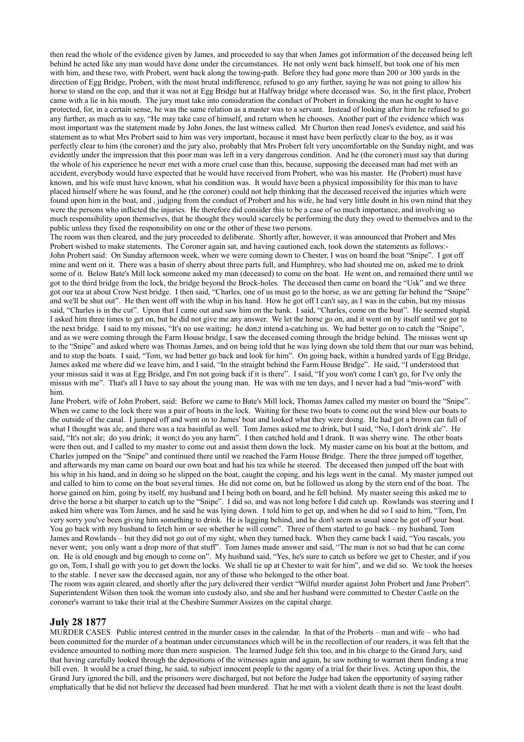then read the whole of the evidence given by James, and proceeded to say that when James got information of the deceased being left behind he acted like any man would have done under the circumstances. He not only went back himself, but took one of his men with him, and these two, with Probert, went back along the towing-path. Before they had gone more than 200 or 300 yards in the direction of Egg Bridge, Probert, with the most brutal indifference, refused to go any further, saying he was not going to allow his horse to stand on the cop, and that it was not at Egg Bridge but at Halfway bridge where deceased was. So, in the first place, Probert came with a lie in his mouth. The jury must take into consideration the conduct of Probert in forsaking the man he ought to have protected, for, in a certain sense, he was the same relation as a master was to a servant. Instead of looking after him he refused to go any further, as much as to say, "He may take care of himself, and return when he chooses. Another part of the evidence which was most important was the statement made by John Jones, the last witness called. Mr Churton then read Jones's evidence, and said his statement as to what Mrs Probert said to him was very important, because it must have been perfectly clear to the boy, as it was perfectly clear to him (the coroner) and the jury also, probably that Mrs Probert felt very uncomfortable on the Sunday night, and was evidently under the impression that this poor man was left in a very dangerous condition. And he (the coroner) must say that during the whole of his experience he never met with a more cruel case than this, because, supposing the deceased man had met with an accident, everybody would have expected that he would have received from Probert, who was his master. He (Probert) must have known, and his wife must have known, what his condition was. It would have been a physical impossibility for this man to have placed himself where he was found, and he (the coroner) could not help thinking that the deceased received the injuries which were found upon him in the boat, and , judging from the conduct of Probert and his wife, he had very little doubt in his own mind that they were the persons who inflicted the injuries. He therefore did consider this to be a case of so much importance, and involving so much responsibility upon themselves, that he thought they would scarcely be performing the duty they owed to themselves and to the public unless they fixed the responsibility on one or the other of these two persons.

The room was then cleared, and the jury proceeded to deliberate. Shortly after, however, it was announced that Probert and Mrs Probert wished to make statements. The Coroner again sat, and having cautioned each, took down the statements as follows:- John Probert said: On Sunday afternoon week, when we were coming down to Chester, I was on board the boat "Snipe". I got off mine and went on it. There was a basin of sherry about three parts full, and Humphrey, who had shouted me on, asked me to drink some of it. Below Bate's Mill lock someone asked my man (deceased) to come on the boat. He went on, and remained there until we got to the third bridge from the lock, the bridge beyond the Brock-holes. The deceased then came on board the "Usk" and we three got our tea at about Crow Nest bridge. I then said, "Charles, one of us must go to the horse, as we are getting far behind the "Snipe" and we'll be shut out". He then went off with the whip in his hand. How he got off I can't say, as I was in the cabin, but my missus said, "Charles is in the cut". Upon that I came out and saw him on the bank. I said, "Charles, come on the boat". He seemed stupid. I asked him three times to get on, but he did not give me any answer. We let the horse go on, and it went on by itself until we got to the next bridge. I said to my missus, "It's no use waiting; he don;t intend a-catching us. We had better go on to catch the "Snipe", and as we were coming through the Farm House bridge, I saw the deceased coming through the bridge behind. The missus went up to the "Snipe" and asked where was Thomas James, and on being told that he was lying down she told them that our man was behind, and to stop the boats. I said, "Tom, we had better go back and look for him". On going back, within a hundred yards of Egg Bridge, James asked me where did we leave him, and I said, "In the straight behind the Farm House Bridge". He said, "I understood that your missus said it was at Egg Bridge, and I'm not going back if it is there". I said, "If you won't come I can't go, for I've only the missus with me". That's all I have to say about the young man. He was with me ten days, and I never had a bad "mis-word" with him.

Jane Probert, wife of John Probert, said: Before we came to Bate's Mill lock, Thomas James called my master on board the "Snipe". When we came to the lock there was a pair of boats in the lock. Waiting for these two boats to come out the wind blew our boats to the outside of the canal. I jumped off and went on to James' boat and looked what they were doing. He had got a brown can full of what I thought was ale, and there was a tea basinful as well. Tom James asked me to drink, but I said, "No, I don't drink ale". He said, "It's not ale; do you drink; it won;t do you any harm". I then catched hold and I drank. It was sherry wine. The other boats were then out, and I called to my master to come out and assist them down the lock. My master came on his boat at the bottom, and Charles jumped on the "Snipe" and continued there until we reached the Farm House Bridge. There the three jumped off together, and afterwards my man came on board our own boat and had his tea while he steered. The deceased then jumped off the boat with his whip in his hand, and in doing so he slipped on the boat, caught the coping, and his legs went in the canal. My master jumped out and called to him to come on the boat several times. He did not come on, but he followed us along by the stern end of the boat. The horse gained on him, going by itself, my husband and I being both on board, and he fell behind. My master seeing this asked me to drive the horse a bit sharper to catch up to the "Snipe". I did so, and was not long before I did catch up. Rowlands was steering and I asked him where was Tom James, and he said he was lying down. I told him to get up, and when he did so I said to him, "Tom, I'm very sorry you've been giving him something to drink. He is lagging behind, and he don't seem as usual since he got off your boat. You go back with my husband to fetch him or see whether he will come". Three of them started to go back – my husband, Tom James and Rowlands – but they did not go out of my sight, when they turned back. When they came back I said, "You rascals, you never went; you only want a drop more of that stuff". Tom James made answer and said, "The man is not so bad that he can come on. He is old enough and big enough to come on". My husband said, "Yes, he's sure to catch us before we get to Chester, and if you go on, Tom, I shall go with you to get down the locks. We shall tie up at Chester to wait for him", and we did so. We took the horses to the stable. I never saw the deceased again, nor any of those who belonged to the other boat.

The room was again cleared, and shortly after the jury delivered their verdict "Wilful murder against John Probert and Jane Probert". Superintendent Wilson then took the woman into custody also, and she and her husband were committed to Chester Castle on the coroner's warrant to take their trial at the Cheshire Summer Assizes on the capital charge.

# **July 28 1877**

MURDER CASES Public interest centred in the murder cases in the calendar. In that of the Proberts – man and wife – who had been committed for the murder of a boatman under circumstances which will be in the recollection of our readers, it was felt that the evidence amounted to nothing more than mere suspicion. The learned Judge felt this too, and in his charge to the Grand Jury, said that having carefully looked through the depositions of the witnesses again and again, he saw nothing to warrant them finding a true bill even. It would be a cruel thing, he said, to subject innocent people to the agony of a trial for their lives. Acting upon this, the Grand Jury ignored the bill, and the prisoners were discharged, but not before the Judge had taken the opportunity of saying rather emphatically that he did not believe the deceased had been murdered. That he met with a violent death there is not the least doubt.